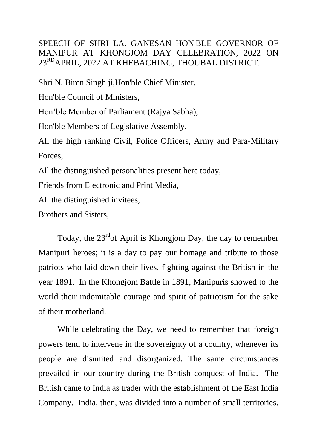SPEECH OF SHRI LA. GANESAN HON'BLE GOVERNOR OF MANIPUR AT KHONGJOM DAY CELEBRATION, 2022 ON 23RDAPRIL, 2022 AT KHEBACHING, THOUBAL DISTRICT.

Shri N. Biren Singh ji,Hon'ble Chief Minister,

Hon'ble Council of Ministers,

Hon'ble Member of Parliament (Rajya Sabha),

Hon'ble Members of Legislative Assembly,

All the high ranking Civil, Police Officers, Army and Para-Military Forces,

All the distinguished personalities present here today,

Friends from Electronic and Print Media,

All the distinguished invitees,

Brothers and Sisters,

Today, the 23<sup>rd</sup> of April is Khongjom Day, the day to remember Manipuri heroes; it is a day to pay our homage and tribute to those patriots who laid down their lives, fighting against the British in the year 1891. In the Khongjom Battle in 1891, Manipuris showed to the world their indomitable courage and spirit of patriotism for the sake of their motherland.

While celebrating the Day, we need to remember that foreign powers tend to intervene in the sovereignty of a country, whenever its people are disunited and disorganized. The same circumstances prevailed in our country during the British conquest of India. The British came to India as trader with the establishment of the East India Company. India, then, was divided into a number of small territories.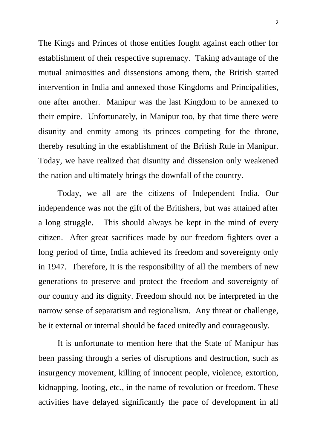The Kings and Princes of those entities fought against each other for establishment of their respective supremacy. Taking advantage of the mutual animosities and dissensions among them, the British started intervention in India and annexed those Kingdoms and Principalities, one after another. Manipur was the last Kingdom to be annexed to their empire. Unfortunately, in Manipur too, by that time there were disunity and enmity among its princes competing for the throne, thereby resulting in the establishment of the British Rule in Manipur. Today, we have realized that disunity and dissension only weakened the nation and ultimately brings the downfall of the country.

Today, we all are the citizens of Independent India. Our independence was not the gift of the Britishers, but was attained after a long struggle. This should always be kept in the mind of every citizen. After great sacrifices made by our freedom fighters over a long period of time, India achieved its freedom and sovereignty only in 1947. Therefore, it is the responsibility of all the members of new generations to preserve and protect the freedom and sovereignty of our country and its dignity. Freedom should not be interpreted in the narrow sense of separatism and regionalism. Any threat or challenge, be it external or internal should be faced unitedly and courageously.

It is unfortunate to mention here that the State of Manipur has been passing through a series of disruptions and destruction, such as insurgency movement, killing of innocent people, violence, extortion, kidnapping, looting, etc., in the name of revolution or freedom. These activities have delayed significantly the pace of development in all